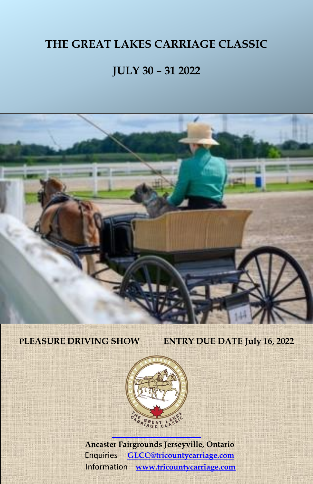# **JULY 30 – 31 2022**

*With Cones & Dressage*

*Entry Due Date July 16, 2022*

# **PLEASURE DRIVING SHOW ENTRY DUE DATE July 16, 2022**

1

*Class*

*Carriage Dog Class*

*International & Costume*



 **Ancaster Fairgrounds Jerseyville, Ontario** Enquiries **[GLCC@tricountycarriage.com](mailto:GLCC@tricountycarriage.com)** Information **[www.tricountycarriage.com](http://www.tricountycarriage.com/)**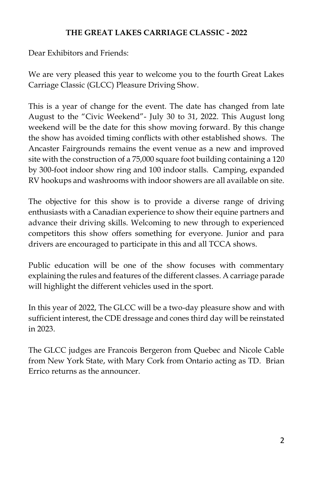Dear Exhibitors and Friends:

We are very pleased this year to welcome you to the fourth Great Lakes Carriage Classic (GLCC) Pleasure Driving Show.

This is a year of change for the event. The date has changed from late August to the "Civic Weekend"- July 30 to 31, 2022. This August long weekend will be the date for this show moving forward. By this change the show has avoided timing conflicts with other established shows. The Ancaster Fairgrounds remains the event venue as a new and improved site with the construction of a 75,000 square foot building containing a 120 by 300-foot indoor show ring and 100 indoor stalls. Camping, expanded RV hookups and washrooms with indoor showers are all available on site.

The objective for this show is to provide a diverse range of driving enthusiasts with a Canadian experience to show their equine partners and advance their driving skills. Welcoming to new through to experienced competitors this show offers something for everyone. Junior and para drivers are encouraged to participate in this and all TCCA shows.

Public education will be one of the show focuses with commentary explaining the rules and features of the different classes. A carriage parade will highlight the different vehicles used in the sport.

In this year of 2022, The GLCC will be a two-day pleasure show and with sufficient interest, the CDE dressage and cones third day will be reinstated in 2023.

The GLCC judges are Francois Bergeron from Quebec and Nicole Cable from New York State, with Mary Cork from Ontario acting as TD. Brian Errico returns as the announcer.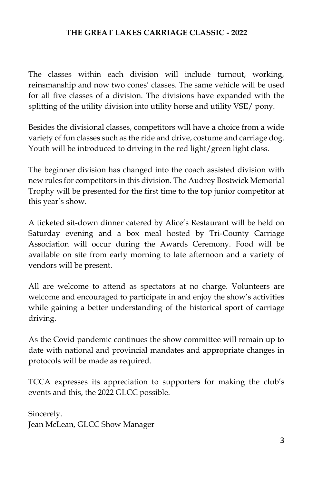The classes within each division will include turnout, working, reinsmanship and now two cones' classes. The same vehicle will be used for all five classes of a division. The divisions have expanded with the splitting of the utility division into utility horse and utility VSE/ pony.

Besides the divisional classes, competitors will have a choice from a wide variety of fun classes such as the ride and drive, costume and carriage dog. Youth will be introduced to driving in the red light/green light class.

The beginner division has changed into the coach assisted division with new rules for competitors in this division. The Audrey Bostwick Memorial Trophy will be presented for the first time to the top junior competitor at this year's show.

A ticketed sit-down dinner catered by Alice's Restaurant will be held on Saturday evening and a box meal hosted by Tri-County Carriage Association will occur during the Awards Ceremony. Food will be available on site from early morning to late afternoon and a variety of vendors will be present.

All are welcome to attend as spectators at no charge. Volunteers are welcome and encouraged to participate in and enjoy the show's activities while gaining a better understanding of the historical sport of carriage driving.

As the Covid pandemic continues the show committee will remain up to date with national and provincial mandates and appropriate changes in protocols will be made as required.

TCCA expresses its appreciation to supporters for making the club's events and this, the 2022 GLCC possible.

Sincerely. Jean McLean, GLCC Show Manager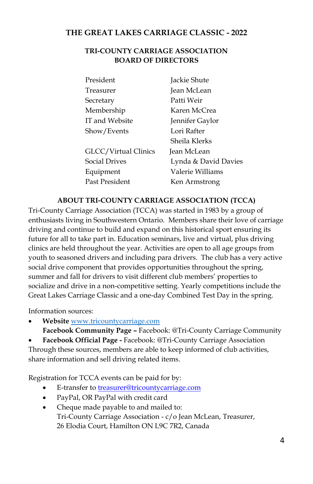### **TRI-COUNTY CARRIAGE ASSOCIATION BOARD OF DIRECTORS**

| President            | Jackie Shute         |
|----------------------|----------------------|
| Treasurer            | <b>Jean McLean</b>   |
| Secretary            | Patti Weir           |
| Membership           | Karen McCrea         |
| IT and Website       | Jennifer Gaylor      |
| Show/Events          | Lori Rafter          |
|                      | Sheila Klerks        |
| GLCC/Virtual Clinics | Jean McLean          |
| <b>Social Drives</b> | Lynda & David Davies |
| Equipment            | Valerie Williams     |
| Past President       | Ken Armstrong        |

### **ABOUT TRI-COUNTY CARRIAGE ASSOCIATION (TCCA)**

Tri-County Carriage Association (TCCA) was started in 1983 by a group of enthusiasts living in Southwestern Ontario. Members share their love of carriage driving and continue to build and expand on this historical sport ensuring its future for all to take part in. Education seminars, live and virtual, plus driving clinics are held throughout the year. Activities are open to all age groups from youth to seasoned drivers and including para drivers. The club has a very active social drive component that provides opportunities throughout the spring, summer and fall for drivers to visit different club members' properties to socialize and drive in a non-competitive setting. Yearly competitions include the Great Lakes Carriage Classic and a one-day Combined Test Day in the spring.

Information sources:

• **Website** [www.tricountycarriage.com](http://www.tricountycarriage.com/)

**Facebook Community Page –** Facebook: @Tri-County Carriage Community

• **Facebook Official Page -** Facebook: @Tri-County Carriage Association Through these sources, members are able to keep informed of club activities, share information and sell driving related items.

Registration for TCCA events can be paid for by:

- E-transfer to [treasurer@tricountycarriage.com](mailto:treasurer@tricountycarriage.com)
- PayPal, OR PayPal with credit card
- Cheque made payable to and mailed to: Tri-County Carriage Association - c/o Jean McLean, Treasurer, 26 Elodia Court, Hamilton ON L9C 7R2, Canada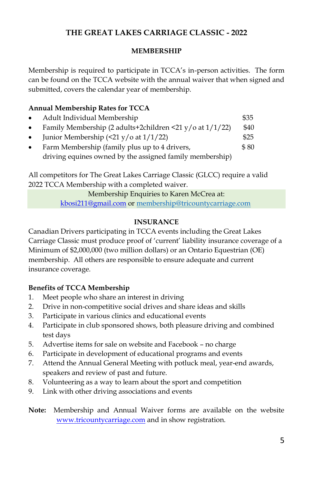### **MEMBERSHIP**

Membership is required to participate in TCCA's in-person activities. The form can be found on the TCCA website with the annual waiver that when signed and submitted, covers the calendar year of membership.

# **Annual Membership Rates for TCCA**

- Adult Individual Membership \$35
- Family Membership (2 adults+2children <21 y/o at  $1/1/22$ ) \$40
- Junior Membership  $(\leq 21 \frac{y}{\alpha} \text{ at } 1/1/22)$  \$25
- Farm Membership (family plus up to 4 drivers,  $$80$ driving equines owned by the assigned family membership)

All competitors for The Great Lakes Carriage Classic (GLCC) require a valid 2022 TCCA Membership with a completed waiver.

> Membership Enquiries to Karen McCrea at: [kbosi211@gmail.com](mailto:kbosi211@gmail.com) o[r membership@tricountycarriage.com](mailto:membership@tricountycarriage.com)

# **INSURANCE**

Canadian Drivers participating in TCCA events including the Great Lakes Carriage Classic must produce proof of 'current' liability insurance coverage of a Minimum of \$2,000,000 (two million dollars) or an Ontario Equestrian (OE) membership. All others are responsible to ensure adequate and current insurance coverage.

### **Benefits of TCCA Membership**

- 1. Meet people who share an interest in driving
- 2. Drive in non-competitive social drives and share ideas and skills
- 3. Participate in various clinics and educational events
- 4. Participate in club sponsored shows, both pleasure driving and combined test days
- 5. Advertise items for sale on website and Facebook no charge
- 6. Participate in development of educational programs and events
- 7. Attend the Annual General Meeting with potluck meal, year-end awards, speakers and review of past and future.
- 8. Volunteering as a way to learn about the sport and competition
- 9. Link with other driving associations and events

**Note:** Membership and Annual Waiver forms are available on the website [www.tricountycarriage.com](http://www.tricountycarriage.com/) and in show registration.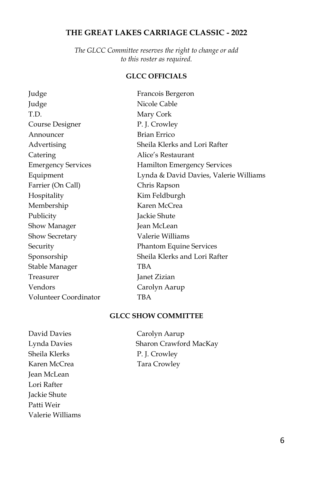*The GLCC Committee reserves the right to change or add to this roster as required.* 

### **GLCC OFFICIALS**

| Judge                     | Francois Bergeron                      |
|---------------------------|----------------------------------------|
| Judge                     | Nicole Cable                           |
| T.D.                      | Mary Cork                              |
| Course Designer           | P. J. Crowley                          |
| Announcer                 | <b>Brian Errico</b>                    |
| Advertising               | Sheila Klerks and Lori Rafter          |
| Catering                  | Alice's Restaurant                     |
| <b>Emergency Services</b> | <b>Hamilton Emergency Services</b>     |
| Equipment                 | Lynda & David Davies, Valerie Williams |
| Farrier (On Call)         | Chris Rapson                           |
| Hospitality               | Kim Feldburgh                          |
| Membership                | Karen McCrea                           |
| Publicity                 | Jackie Shute                           |
| Show Manager              | <b>Jean McLean</b>                     |
| <b>Show Secretary</b>     | Valerie Williams                       |
| Security                  | <b>Phantom Equine Services</b>         |
| Sponsorship               | Sheila Klerks and Lori Rafter          |
| Stable Manager            | TBA                                    |
| Treasurer                 | Janet Zizian                           |
| Vendors                   | Carolyn Aarup                          |
| Volunteer Coordinator     | TBA                                    |

### **GLCC SHOW COMMITTEE**

David Davies Carolyn Aarup Sheila Klerks P. J. Crowley Karen McCrea Tara Crowley Jean McLean Lori Rafter Jackie Shute Patti Weir Valerie Williams

Lynda Davies Sharon Crawford MacKay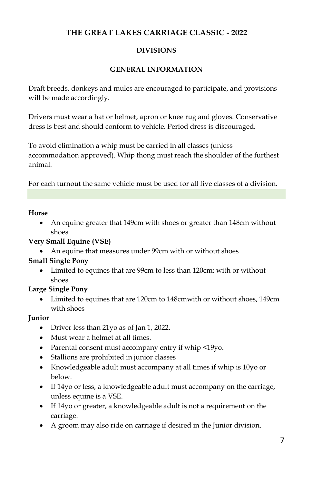# **DIVISIONS**

# **GENERAL INFORMATION**

Draft breeds, donkeys and mules are encouraged to participate, and provisions will be made accordingly.

Drivers must wear a hat or helmet, apron or knee rug and gloves. Conservative dress is best and should conform to vehicle. Period dress is discouraged.

To avoid elimination a whip must be carried in all classes (unless accommodation approved). Whip thong must reach the shoulder of the furthest animal.

For each turnout the same vehicle must be used for all five classes of a division.

### **Horse**

• An equine greater that 149cm with shoes or greater than 148cm without shoes

### **Very Small Equine (VSE)**

• An equine that measures under 99cm with or without shoes

### **Small Single Pony**

• Limited to equines that are 99cm to less than 120cm: with or without shoes

### **Large Single Pony**

• Limited to equines that are 120cm to 148cmwith or without shoes, 149cm with shoes

### **Junior**

- Driver less than 21yo as of Jan 1, 2022.
- Must wear a helmet at all times.
- Parental consent must accompany entry if whip <19yo.
- Stallions are prohibited in junior classes
- Knowledgeable adult must accompany at all times if whip is 10yo or below.
- If 14yo or less, a knowledgeable adult must accompany on the carriage, unless equine is a VSE.
- If 14yo or greater, a knowledgeable adult is not a requirement on the carriage.
- A groom may also ride on carriage if desired in the Junior division.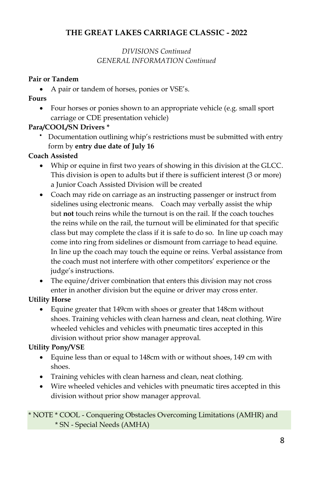# *DIVISIONS Continued GENERAL INFORMATION Continued*

### **Pair or Tandem**

• A pair or tandem of horses, ponies or VSE's.

# **Fours**

• Four horses or ponies shown to an appropriate vehicle (e.g. small sport carriage or CDE presentation vehicle)

# **Para/COOL/SN Drivers \***

• Documentation outlining whip's restrictions must be submitted with entry form by **entry due date of July 16**

### **Coach Assisted**

- Whip or equine in first two years of showing in this division at the GLCC. This division is open to adults but if there is sufficient interest (3 or more) a Junior Coach Assisted Division will be created
- Coach may ride on carriage as an instructing passenger or instruct from sidelines using electronic means. Coach may verbally assist the whip but **not** touch reins while the turnout is on the rail. If the coach touches the reins while on the rail, the turnout will be eliminated for that specific class but may complete the class if it is safe to do so. In line up coach may come into ring from sidelines or dismount from carriage to head equine. In line up the coach may touch the equine or reins. Verbal assistance from the coach must not interfere with other competitors' experience or the judge's instructions.
- The equine/driver combination that enters this division may not cross enter in another division but the equine or driver may cross enter.

### **Utility Horse**

• Equine greater that 149cm with shoes or greater that 148cm without shoes. Training vehicles with clean harness and clean, neat clothing. Wire wheeled vehicles and vehicles with pneumatic tires accepted in this division without prior show manager approval.

### **Utility Pony/VSE**

- Equine less than or equal to 148cm with or without shoes, 149 cm with shoes.
- Training vehicles with clean harness and clean, neat clothing.
- Wire wheeled vehicles and vehicles with pneumatic tires accepted in this division without prior show manager approval.

### \* NOTE \* COOL - Conquering Obstacles Overcoming Limitations (AMHR) and \* SN - Special Needs (AMHA)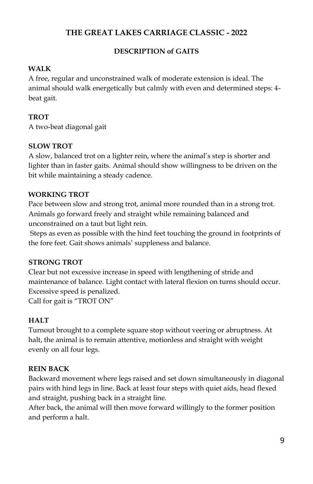## **DESCRIPTION of GAITS**

### **WALK**

A free, regular and unconstrained walk of moderate extension is ideal. The animal should walk energetically but calmly with even and determined steps: 4 beat gait.

### **TROT**

A two-beat diagonal gait

### **SLOW TROT**

A slow, balanced trot on a lighter rein, where the animal's step is shorter and lighter than in faster gaits. Animal should show willingness to be driven on the bit while maintaining a steady cadence.

### **WORKING TROT**

Pace between slow and strong trot, animal more rounded than in a strong trot. Animals go forward freely and straight while remaining balanced and unconstrained on a taut but light rein.

Steps as even as possible with the hind feet touching the ground in footprints of the fore feet. Gait shows animals' suppleness and balance.

### **STRONG TROT**

Clear but not excessive increase in speed with lengthening of stride and maintenance of balance. Light contact with lateral flexion on turns should occur. Excessive speed is penalized. Call for gait is "TROT ON"

### **HALT**

Turnout brought to a complete square stop without veering or abruptness. At halt, the animal is to remain attentive, motionless and straight with weight evenly on all four legs.

### **REIN BACK**

Backward movement where legs raised and set down simultaneously in diagonal pairs with hind legs in line. Back at least four steps with quiet aids, head flexed and straight, pushing back in a straight line.

After back, the animal will then move forward willingly to the former position and perform a halt.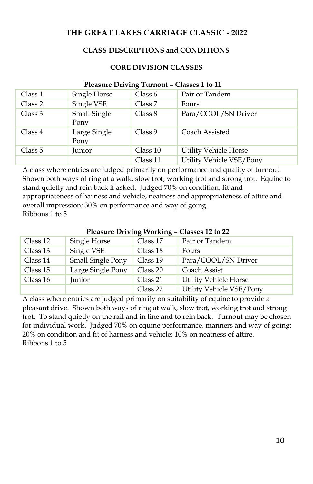### **CLASS DESCRIPTIONS and CONDITIONS**

#### **CORE DIVISION CLASSES**

#### **Pleasure Driving Turnout – Classes 1 to 11**

| Class 1 | Single Horse         | Class 6  | Pair or Tandem           |
|---------|----------------------|----------|--------------------------|
| Class 2 | Single VSE           | Class 7  | Fours                    |
| Class 3 | Small Single<br>Pony | Class 8  | Para/COOL/SN Driver      |
| Class 4 | Large Single<br>Pony | Class 9  | Coach Assisted           |
| Class 5 | Junior               | Class 10 | Utility Vehicle Horse    |
|         |                      | Class 11 | Utility Vehicle VSE/Pony |

A class where entries are judged primarily on performance and quality of turnout. Shown both ways of ring at a walk, slow trot, working trot and strong trot. Equine to stand quietly and rein back if asked. Judged 70% on condition, fit and appropriateness of harness and vehicle, neatness and appropriateness of attire and overall impression; 30% on performance and way of going. Ribbons 1 to 5

#### **Pleasure Driving Working – Classes 12 to 22**

| Class 12 | Single Horse             | Class 17 | Pair or Tandem           |
|----------|--------------------------|----------|--------------------------|
| Class 13 | Single VSE               | Class 18 | Fours                    |
| Class 14 | <b>Small Single Pony</b> | Class 19 | Para/COOL/SN Driver      |
| Class 15 | Large Single Pony        | Class 20 | Coach Assist             |
| Class 16 | Junior                   | Class 21 | Utility Vehicle Horse    |
|          |                          | Class 22 | Utility Vehicle VSE/Pony |

 A class where entries are judged primarily on suitability of equine to provide a pleasant drive. Shown both ways of ring at walk, slow trot, working trot and strong trot. To stand quietly on the rail and in line and to rein back. Turnout may be chosen for individual work. Judged 70% on equine performance, manners and way of going; 20% on condition and fit of harness and vehicle: 10% on neatness of attire. Ribbons 1 to 5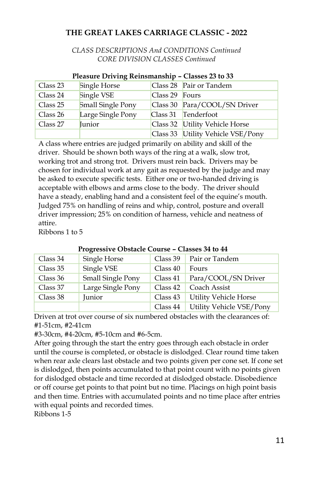*CLASS DESCRIPTIONS And CONDITIONS Continued CORE DIVISION CLASSES Continued*

|          | Pleasure Driving Reinsmanship – Classes 23 to 33 |                |                                   |  |
|----------|--------------------------------------------------|----------------|-----------------------------------|--|
| Class 23 | Single Horse                                     |                | Class 28 Pair or Tandem           |  |
| Class 24 | Single VSE                                       | Class 29 Fours |                                   |  |
| Class 25 | Small Single Pony                                |                | Class 30 Para/COOL/SN Driver      |  |
| Class 26 | Large Single Pony                                |                | Class 31 Tenderfoot               |  |
| Class 27 | Junior                                           |                | Class 32 Utility Vehicle Horse    |  |
|          |                                                  |                | Class 33 Utility Vehicle VSE/Pony |  |

# **Pleasure Driving Reinsmanship – Classes 23 to 33**

A class where entries are judged primarily on ability and skill of the driver. Should be shown both ways of the ring at a walk, slow trot, working trot and strong trot. Drivers must rein back. Drivers may be chosen for individual work at any gait as requested by the judge and may be asked to execute specific tests. Either one or two-handed driving is acceptable with elbows and arms close to the body. The driver should have a steady, enabling hand and a consistent feel of the equine's mouth. Judged 75% on handling of reins and whip, control, posture and overall driver impression; 25% on condition of harness, vehicle and neatness of attire.

Ribbons 1 to 5

| Class 34 | Single Horse      | Class 39 | Pair or Tandem               |
|----------|-------------------|----------|------------------------------|
| Class 35 | Single VSE        | Class 40 | Fours                        |
| Class 36 | Small Single Pony | Class 41 | Para/COOL/SN Driver          |
| Class 37 | Large Single Pony | Class 42 | Coach Assist                 |
| Class 38 | Junior            | Class 43 | <b>Utility Vehicle Horse</b> |
|          |                   | Class 44 | Utility Vehicle VSE/Pony     |

### **Progressive Obstacle Course – Classes 34 to 44**

Driven at trot over course of six numbered obstacles with the clearances of: #1-51cm, #2-41cm

#3-30cm, #4-20cm, #5-10cm and #6-5cm.

After going through the start the entry goes through each obstacle in order until the course is completed, or obstacle is dislodged. Clear round time taken when rear axle clears last obstacle and two points given per cone set. If cone set is dislodged, then points accumulated to that point count with no points given for dislodged obstacle and time recorded at dislodged obstacle. Disobedience or off course get points to that point but no time. Placings on high point basis and then time. Entries with accumulated points and no time place after entries with equal points and recorded times.

Ribbons 1-5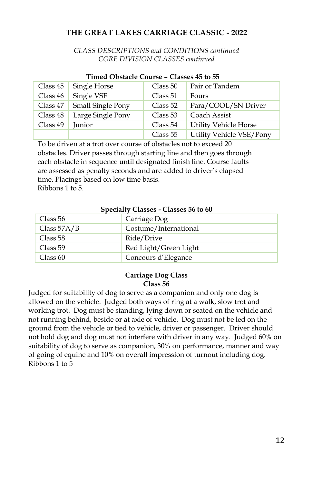### *CLASS DESCRIPTIONS and CONDITIONS continued CORE DIVISION CLASSES continued*

|          | THREA O <i>vsta</i> cie Course – Classes <del>T</del> o to 55 |          |                          |  |  |
|----------|---------------------------------------------------------------|----------|--------------------------|--|--|
| Class 45 | Single Horse                                                  | Class 50 | Pair or Tandem           |  |  |
| Class 46 | Single VSE                                                    | Class 51 | Fours                    |  |  |
| Class 47 | Small Single Pony                                             | Class 52 | Para/COOL/SN Driver      |  |  |
| Class 48 | Large Single Pony                                             | Class 53 | Coach Assist             |  |  |
| Class 49 | Junior                                                        | Class 54 | Utility Vehicle Horse    |  |  |
|          |                                                               | Class 55 | Utility Vehicle VSE/Pony |  |  |

#### **Timed Obstacle Course – Classes 45 to 55**

To be driven at a trot over course of obstacles not to exceed 20 obstacles. Driver passes through starting line and then goes through each obstacle in sequence until designated finish line. Course faults are assessed as penalty seconds and are added to driver's elapsed time. Placings based on low time basis. Ribbons 1 to 5.

#### **Specialty Classes - Classes 56 to 60**

| Class 56      | Carriage Dog          |
|---------------|-----------------------|
| Class $57A/B$ | Costume/International |
| Class 58      | Ride/Drive            |
| Class 59      | Red Light/Green Light |
| Class 60      | Concours d'Elegance   |

#### **Carriage Dog Class Class 56**

Judged for suitability of dog to serve as a companion and only one dog is allowed on the vehicle. Judged both ways of ring at a walk, slow trot and working trot. Dog must be standing, lying down or seated on the vehicle and not running behind, beside or at axle of vehicle. Dog must not be led on the ground from the vehicle or tied to vehicle, driver or passenger. Driver should not hold dog and dog must not interfere with driver in any way. Judged 60% on suitability of dog to serve as companion, 30% on performance, manner and way of going of equine and 10% on overall impression of turnout including dog. Ribbons 1 to 5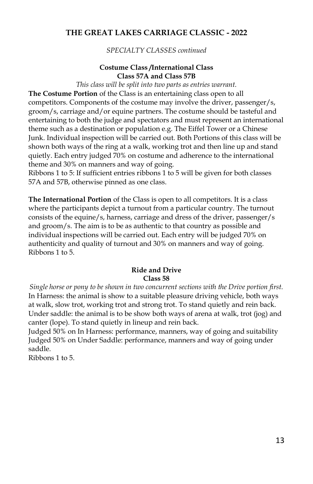*SPECIALTY CLASSES continued*

#### **Costume Class /International Class Class 57A and Class 57B**

*This class will be split into two parts as entries warrant.* 

**The Costume Portion** of the Class is an entertaining class open to all competitors. Components of the costume may involve the driver, passenger/s, groom/s, carriage and/or equine partners. The costume should be tasteful and entertaining to both the judge and spectators and must represent an international theme such as a destination or population e.g. The Eiffel Tower or a Chinese Junk. Individual inspection will be carried out. Both Portions of this class will be shown both ways of the ring at a walk, working trot and then line up and stand quietly. Each entry judged 70% on costume and adherence to the international theme and 30% on manners and way of going.

Ribbons 1 to 5: If sufficient entries ribbons 1 to 5 will be given for both classes 57A and 57B, otherwise pinned as one class.

**The International Portion** of the Class is open to all competitors. It is a class where the participants depict a turnout from a particular country. The turnout consists of the equine/s, harness, carriage and dress of the driver, passenger/s and groom/s. The aim is to be as authentic to that country as possible and individual inspections will be carried out. Each entry will be judged 70% on authenticity and quality of turnout and 30% on manners and way of going. Ribbons 1 to 5.

#### **Ride and Drive Class 58**

*Single horse or pony to be shown in two concurrent sections with the Drive portion first.*  In Harness: the animal is show to a suitable pleasure driving vehicle, both ways at walk, slow trot, working trot and strong trot. To stand quietly and rein back. Under saddle: the animal is to be show both ways of arena at walk, trot (jog) and canter (lope). To stand quietly in lineup and rein back.

Judged 50% on In Harness: performance, manners, way of going and suitability Judged 50% on Under Saddle: performance, manners and way of going under saddle.

Ribbons 1 to 5.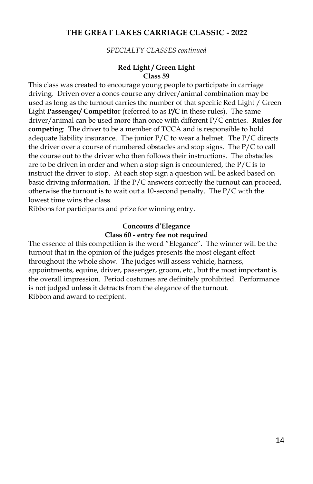*SPECIALTY CLASSES continued*

#### **Red Light / Green Light Class 59**

This class was created to encourage young people to participate in carriage driving. Driven over a cones course any driver/animal combination may be used as long as the turnout carries the number of that specific Red Light / Green Light **Passenger/ Competito**r (referred to as **P/C** in these rules). The same driver/animal can be used more than once with different P/C entries. **Rules for competing**: The driver to be a member of TCCA and is responsible to hold adequate liability insurance. The junior P/C to wear a helmet. The P/C directs the driver over a course of numbered obstacles and stop signs. The P/C to call the course out to the driver who then follows their instructions. The obstacles are to be driven in order and when a stop sign is encountered, the  $P/C$  is to instruct the driver to stop. At each stop sign a question will be asked based on basic driving information. If the P/C answers correctly the turnout can proceed, otherwise the turnout is to wait out a 10-second penalty. The P/C with the lowest time wins the class.

Ribbons for participants and prize for winning entry.

### **Concours d'Elegance Class 60 - entry fee not required**

The essence of this competition is the word "Elegance". The winner will be the turnout that in the opinion of the judges presents the most elegant effect throughout the whole show. The judges will assess vehicle, harness, appointments, equine, driver, passenger, groom, etc., but the most important is the overall impression. Period costumes are definitely prohibited. Performance is not judged unless it detracts from the elegance of the turnout. Ribbon and award to recipient.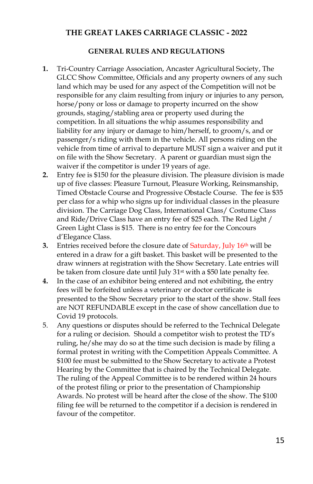#### **GENERAL RULES AND REGULATIONS**

- **1.** Tri-Country Carriage Association, Ancaster Agricultural Society, The GLCC Show Committee, Officials and any property owners of any such land which may be used for any aspect of the Competition will not be responsible for any claim resulting from injury or injuries to any person, horse/pony or loss or damage to property incurred on the show grounds, staging/stabling area or property used during the competition. In all situations the whip assumes responsibility and liability for any injury or damage to him/herself, to groom/s, and or passenger/s riding with them in the vehicle. All persons riding on the vehicle from time of arrival to departure MUST sign a waiver and put it on file with the Show Secretary. A parent or guardian must sign the waiver if the competitor is under 19 years of age.
- **2.** Entry fee is \$150 for the pleasure division. The pleasure division is made up of five classes: Pleasure Turnout, Pleasure Working, Reinsmanship, Timed Obstacle Course and Progressive Obstacle Course. The fee is \$35 per class for a whip who signs up for individual classes in the pleasure division. The Carriage Dog Class, International Class/ Costume Class and Ride/Drive Class have an entry fee of \$25 each. The Red Light / Green Light Class is \$15. There is no entry fee for the Concours d'Elegance Class.
- **3.** Entries received before the closure date of Saturday, July 16<sup>th</sup> will be entered in a draw for a gift basket. This basket will be presented to the draw winners at registration with the Show Secretary. Late entries will be taken from closure date until July 31<sup>st</sup> with a \$50 late penalty fee.
- **4.** In the case of an exhibitor being entered and not exhibiting, the entry fees will be forfeited unless a veterinary or doctor certificate is presented to the Show Secretary prior to the start of the show. Stall fees are NOT REFUNDABLE except in the case of show cancellation due to Covid 19 protocols.
- 5. Any questions or disputes should be referred to the Technical Delegate for a ruling or decision. Should a competitor wish to protest the TD's ruling, he/she may do so at the time such decision is made by filing a formal protest in writing with the Competition Appeals Committee. A \$100 fee must be submitted to the Show Secretary to activate a Protest Hearing by the Committee that is chaired by the Technical Delegate. The ruling of the Appeal Committee is to be rendered within 24 hours of the protest filing or prior to the presentation of Championship Awards. No protest will be heard after the close of the show. The \$100 filing fee will be returned to the competitor if a decision is rendered in favour of the competitor.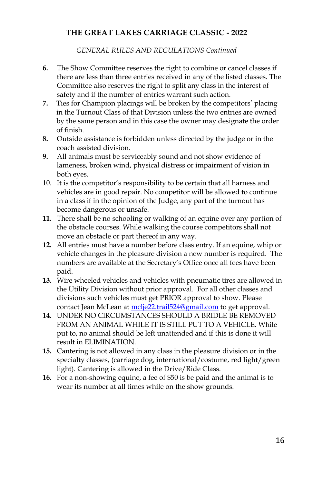*GENERAL RULES AND REGULATIONS Continued*

- **6.** The Show Committee reserves the right to combine or cancel classes if there are less than three entries received in any of the listed classes. The Committee also reserves the right to split any class in the interest of safety and if the number of entries warrant such action.
- **7.** Ties for Champion placings will be broken by the competitors' placing in the Turnout Class of that Division unless the two entries are owned by the same person and in this case the owner may designate the order of finish.
- **8.** Outside assistance is forbidden unless directed by the judge or in the coach assisted division.
- **9.** All animals must be serviceably sound and not show evidence of lameness, broken wind, physical distress or impairment of vision in both eyes.
- 10. It is the competitor's responsibility to be certain that all harness and vehicles are in good repair. No competitor will be allowed to continue in a class if in the opinion of the Judge, any part of the turnout has become dangerous or unsafe.
- **11.** There shall be no schooling or walking of an equine over any portion of the obstacle courses. While walking the course competitors shall not move an obstacle or part thereof in any way.
- **12.** All entries must have a number before class entry. If an equine, whip or vehicle changes in the pleasure division a new number is required. The numbers are available at the Secretary's Office once all fees have been paid.
- **13.** Wire wheeled vehicles and vehicles with pneumatic tires are allowed in the Utility Division without prior approval. For all other classes and divisions such vehicles must get PRIOR approval to show. Please contact Jean McLean at [mclje22.trail524@gmail.com](mailto:mclje22.trail524@gmail.com) to get approval.
- **14.** UNDER NO CIRCUMSTANCES SHOULD A BRIDLE BE REMOVED FROM AN ANIMAL WHILE IT IS STILL PUT TO A VEHICLE. While put to, no animal should be left unattended and if this is done it will result in ELIMINATION.
- **15.** Cantering is not allowed in any class in the pleasure division or in the specialty classes, (carriage dog, international/costume, red light/green light). Cantering is allowed in the Drive/Ride Class.
- **16.** For a non-showing equine, a fee of \$50 is be paid and the animal is to wear its number at all times while on the show grounds.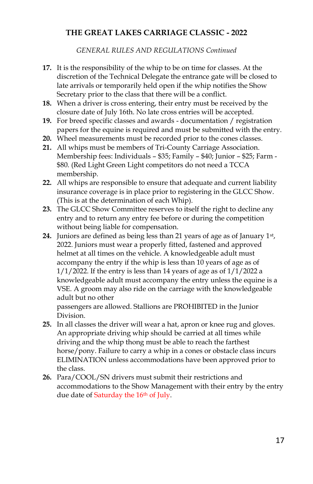*GENERAL RULES AND REGULATIONS Continued*

- **17.** It is the responsibility of the whip to be on time for classes. At the discretion of the Technical Delegate the entrance gate will be closed to late arrivals or temporarily held open if the whip notifies the Show Secretary prior to the class that there will be a conflict.
- **18.** When a driver is cross entering, their entry must be received by the closure date of July 16th. No late cross entries will be accepted.
- **19.** For breed specific classes and awards documentation / registration papers for the equine is required and must be submitted with the entry.
- **20.** Wheel measurements must be recorded prior to the cones classes.
- **21.** All whips must be members of Tri-County Carriage Association. Membership fees: Individuals – \$35; Family – \$40; Junior – \$25; Farm - \$80. (Red Light Green Light competitors do not need a TCCA membership.
- **22.** All whips are responsible to ensure that adequate and current liability insurance coverage is in place prior to registering in the GLCC Show. (This is at the determination of each Whip).
- **23.** The GLCC Show Committee reserves to itself the right to decline any entry and to return any entry fee before or during the competition without being liable for compensation.
- **24.** Juniors are defined as being less than 21 years of age as of January 1st , 2022. Juniors must wear a properly fitted, fastened and approved helmet at all times on the vehicle. A knowledgeable adult must accompany the entry if the whip is less than 10 years of age as of  $1/1/2022$ . If the entry is less than 14 years of age as of  $1/1/2022$  a knowledgeable adult must accompany the entry unless the equine is a VSE. A groom may also ride on the carriage with the knowledgeable adult but no other

passengers are allowed. Stallions are PROHIBITED in the Junior Division.

- **25.** In all classes the driver will wear a hat, apron or knee rug and gloves. An appropriate driving whip should be carried at all times while driving and the whip thong must be able to reach the farthest horse/pony. Failure to carry a whip in a cones or obstacle class incurs ELIMINATION unless accommodations have been approved prior to the class.
- **26.** Para/COOL/SN drivers must submit their restrictions and accommodations to the Show Management with their entry by the entry due date of Saturday the 16<sup>th</sup> of July.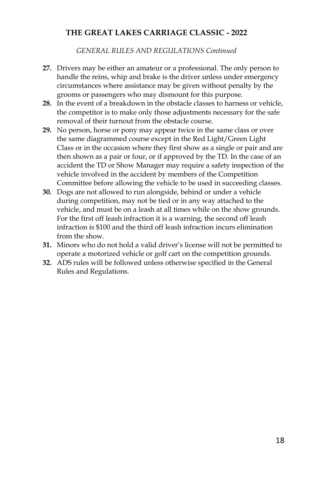*GENERAL RULES AND REGULATIONS Continued*

- **27.** Drivers may be either an amateur or a professional. The only person to handle the reins, whip and brake is the driver unless under emergency circumstances where assistance may be given without penalty by the grooms or passengers who may dismount for this purpose.
- **28.** In the event of a breakdown in the obstacle classes to harness or vehicle, the competitor is to make only those adjustments necessary for the safe removal of their turnout from the obstacle course.
- **29.** No person, horse or pony may appear twice in the same class or over the same diagrammed course except in the Red Light/Green Light Class or in the occasion where they first show as a single or pair and are then shown as a pair or four, or if approved by the TD. In the case of an accident the TD or Show Manager may require a safety inspection of the vehicle involved in the accident by members of the Competition Committee before allowing the vehicle to be used in succeeding classes.
- **30.** Dogs are not allowed to run alongside, behind or under a vehicle during competition, may not be tied or in any way attached to the vehicle, and must be on a leash at all times while on the show grounds. For the first off leash infraction it is a warning, the second off leash infraction is \$100 and the third off leash infraction incurs elimination from the show.
- **31.** Minors who do not hold a valid driver's license will not be permitted to operate a motorized vehicle or golf cart on the competition grounds.
- **32.** ADS rules will be followed unless otherwise specified in the General Rules and Regulations.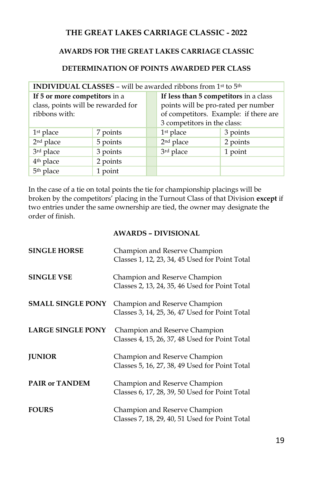### **AWARDS FOR THE GREAT LAKES CARRIAGE CLASSIC**

### **DETERMINATION OF POINTS AWARDED PER CLASS**

| <b>INDIVIDUAL CLASSES - will be awarded ribbons from 1st to 5th</b> |          |  |                                       |          |
|---------------------------------------------------------------------|----------|--|---------------------------------------|----------|
| If 5 or more competitors in a                                       |          |  | If less than 5 competitors in a class |          |
| class, points will be rewarded for                                  |          |  | points will be pro-rated per number   |          |
| ribbons with:                                                       |          |  | of competitors. Example: if there are |          |
|                                                                     |          |  | 3 competitors in the class:           |          |
| 1 <sup>st</sup> place                                               | 7 points |  | 1st place                             | 3 points |
| 2 <sup>nd</sup> place                                               | 5 points |  | 2 <sup>nd</sup> place                 | 2 points |
| 3rd place                                                           | 3 points |  | 3rd place                             | 1 point  |
| 4 <sup>th</sup> place                                               | 2 points |  |                                       |          |
| 5 <sup>th</sup> place                                               | 1 point  |  |                                       |          |

In the case of a tie on total points the tie for championship placings will be broken by the competitors' placing in the Turnout Class of that Division **except** if two entries under the same ownership are tied, the owner may designate the order of finish.

#### **AWARDS – DIVISIONAL**

| <b>SINGLE HORSE</b>      | Champion and Reserve Champion<br>Classes 1, 12, 23, 34, 45 Used for Point Total |
|--------------------------|---------------------------------------------------------------------------------|
| <b>SINGLE VSE</b>        | Champion and Reserve Champion<br>Classes 2, 13, 24, 35, 46 Used for Point Total |
| <b>SMALL SINGLE PONY</b> | Champion and Reserve Champion<br>Classes 3, 14, 25, 36, 47 Used for Point Total |
| <b>LARGE SINGLE PONY</b> | Champion and Reserve Champion<br>Classes 4, 15, 26, 37, 48 Used for Point Total |
| <b>JUNIOR</b>            | Champion and Reserve Champion<br>Classes 5, 16, 27, 38, 49 Used for Point Total |
| <b>PAIR or TANDEM</b>    | Champion and Reserve Champion<br>Classes 6, 17, 28, 39, 50 Used for Point Total |
| <b>FOURS</b>             | Champion and Reserve Champion<br>Classes 7, 18, 29, 40, 51 Used for Point Total |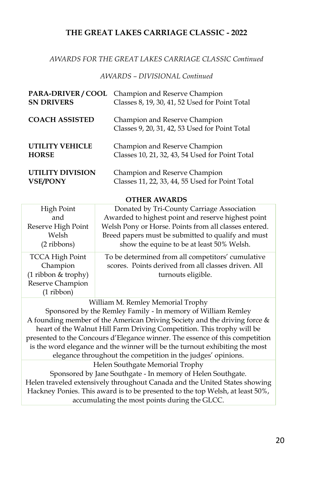### *AWARDS FOR THE GREAT LAKES CARRIAGE CLASSIC Continued*

#### *AWARDS – DIVISIONAL Continued*

| <b>SN DRIVERS</b>      | PARA-DRIVER / COOL Champion and Reserve Champion<br>Classes 8, 19, 30, 41, 52 Used for Point Total |
|------------------------|----------------------------------------------------------------------------------------------------|
| <b>COACH ASSISTED</b>  | Champion and Reserve Champion<br>Classes 9, 20, 31, 42, 53 Used for Point Total                    |
| <b>UTILITY VEHICLE</b> | Champion and Reserve Champion                                                                      |
| <b>HORSE</b>           | Classes 10, 21, 32, 43, 54 Used for Point Total                                                    |
| UTILITY DIVISION       | Champion and Reserve Champion                                                                      |
| <b>VSE/PONY</b>        | Classes 11, 22, 33, 44, 55 Used for Point Total                                                    |

**OTHER AWARDS** 

| High Point             | Donated by Tri-County Carriage Association            |
|------------------------|-------------------------------------------------------|
| and                    | Awarded to highest point and reserve highest point    |
| Reserve High Point     | Welsh Pony or Horse. Points from all classes entered. |
| Welsh                  | Breed papers must be submitted to qualify and must    |
| $(2$ ribbons)          | show the equine to be at least 50% Welsh.             |
| <b>TCCA High Point</b> | To be determined from all competitors' cumulative     |
| Champion               | scores. Points derived from all classes driven. All   |
| (1 ribbon & trophy)    | turnouts eligible.                                    |
| Reserve Champion       |                                                       |
| $(1$ ribbon)           |                                                       |

William M. Remley Memorial Trophy

Sponsored by the Remley Family - In memory of William Remley A founding member of the American Driving Society and the driving force & heart of the Walnut Hill Farm Driving Competition. This trophy will be presented to the Concours d'Elegance winner. The essence of this competition is the word elegance and the winner will be the turnout exhibiting the most elegance throughout the competition in the judges' opinions. Helen Southgate Memorial Trophy Sponsored by Jane Southgate - In memory of Helen Southgate. Helen traveled extensively throughout Canada and the United States showing Hackney Ponies. This award is to be presented to the top Welsh, at least 50%, accumulating the most points during the GLCC.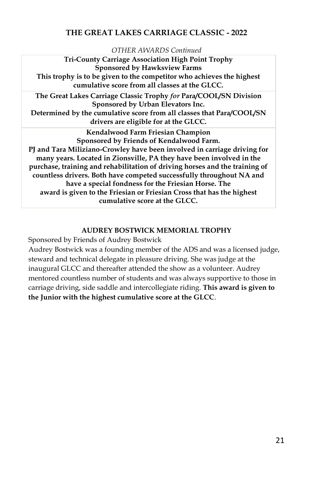#### *OTHER AWARDS Continued*

**Tri-County Carriage Association High Point Trophy Sponsored by Hawksview Farms This trophy is to be given to the competitor who achieves the highest cumulative score from all classes at the GLCC. The Great Lakes Carriage Classic Trophy** *for* **Para/COOL/SN Division Sponsored by Urban Elevators Inc. Determined by the cumulative score from all classes that Para/COOL/SN drivers are eligible for at the GLCC. Kendalwood Farm Friesian Champion Sponsored by Friends of Kendalwood Farm. PJ and Tara Miliziano-Crowley have been involved in carriage driving for many years. Located in Zionsville, PA they have been involved in the purchase, training and rehabilitation of driving horses and the training of countless drivers. Both have competed successfully throughout NA and have a special fondness for the Friesian Horse. The award is given to the Friesian or Friesian Cross that has the highest cumulative score at the GLCC.** 

### **AUDREY BOSTWICK MEMORIAL TROPHY**

Sponsored by Friends of Audrey Bostwick

Audrey Bostwick was a founding member of the ADS and was a licensed judge, steward and technical delegate in pleasure driving. She was judge at the inaugural GLCC and thereafter attended the show as a volunteer. Audrey mentored countless number of students and was always supportive to those in carriage driving, side saddle and intercollegiate riding. **This award is given to the Junior with the highest cumulative score at the GLCC**.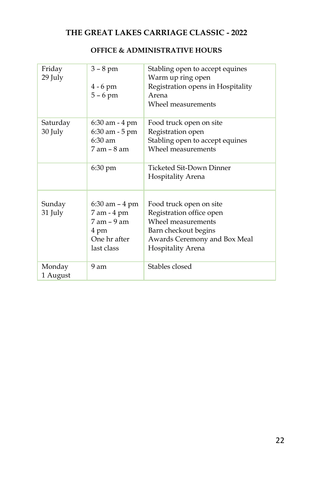| Friday<br>29 July  | $3 - 8$ pm<br>$4 - 6$ pm<br>$5 - 6$ pm | Stabling open to accept equines<br>Warm up ring open<br>Registration opens in Hospitality<br>Arena<br>Wheel measurements |
|--------------------|----------------------------------------|--------------------------------------------------------------------------------------------------------------------------|
|                    |                                        |                                                                                                                          |
| Saturday           | 6:30 am - 4 pm                         | Food truck open on site                                                                                                  |
| 30 July            | 6:30 am - 5 pm                         | Registration open                                                                                                        |
|                    | $6:30 \text{ am}$                      | Stabling open to accept equines                                                                                          |
|                    | $7$ am $-$ 8 am                        | Wheel measurements                                                                                                       |
|                    | 6:30 pm                                | Ticketed Sit-Down Dinner                                                                                                 |
|                    |                                        | Hospitality Arena                                                                                                        |
|                    |                                        |                                                                                                                          |
| Sunday             | $6:30$ am $-4$ pm                      | Food truck open on site                                                                                                  |
| 31 July            | 7 am - 4 pm                            | Registration office open                                                                                                 |
|                    | $7$ am $-9$ am                         | Wheel measurements                                                                                                       |
|                    | 4 pm                                   | Barn checkout begins                                                                                                     |
|                    | One hr after                           | Awards Ceremony and Box Meal                                                                                             |
|                    | last class                             | Hospitality Arena                                                                                                        |
| Monday<br>1 August | 9 am                                   | Stables closed                                                                                                           |

# **OFFICE & ADMINISTRATIVE HOURS**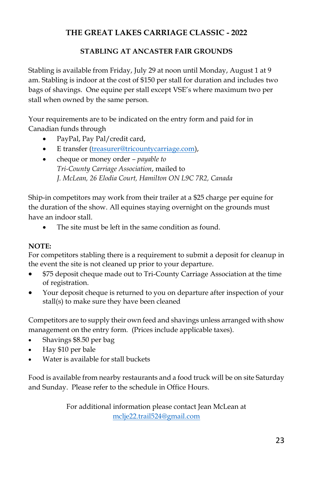# **STABLING AT ANCASTER FAIR GROUNDS**

Stabling is available from Friday, July 29 at noon until Monday, August 1 at 9 am. Stabling is indoor at the cost of \$150 per stall for duration and includes two bags of shavings. One equine per stall except VSE's where maximum two per stall when owned by the same person.

Your requirements are to be indicated on the entry form and paid for in Canadian funds through

- PayPal, Pay Pal/credit card,
- E transfer [\(treasurer@tricountycarriage.com\)](mailto:treasurer@tricountycarriage.com),
- cheque or money order *– payable to Tri-County Carriage Association*, mailed to *J. McLean, 26 Elodia Court, Hamilton ON L9C 7R2, Canada*

Ship-in competitors may work from their trailer at a \$25 charge per equine for the duration of the show. All equines staying overnight on the grounds must have an indoor stall.

The site must be left in the same condition as found.

# **NOTE:**

For competitors stabling there is a requirement to submit a deposit for cleanup in the event the site is not cleaned up prior to your departure.

- \$75 deposit cheque made out to Tri-County Carriage Association at the time of registration.
- Your deposit cheque is returned to you on departure after inspection of your stall(s) to make sure they have been cleaned

Competitors are to supply their own feed and shavings unless arranged with show management on the entry form. (Prices include applicable taxes).

- Shavings \$8.50 per bag
- Hay \$10 per bale
- Water is available for stall buckets

Food is available from nearby restaurants and a food truck will be on site Saturday and Sunday. Please refer to the schedule in Office Hours.

> For additional information please contact Jean McLean at [mclje22.trail524@gmail.com](mailto:mclje22.trail524@gmail.com)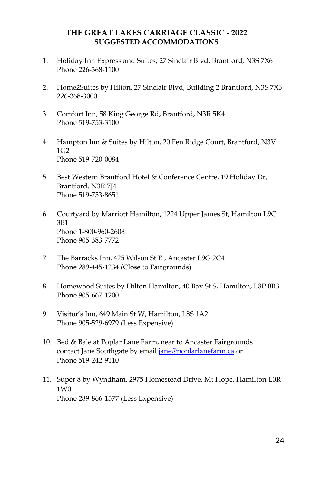### **THE GREAT LAKES CARRIAGE CLASSIC - 2022 SUGGESTED ACCOMMODATIONS**

- 1. Holiday Inn Express and Suites, 27 Sinclair Blvd, Brantford, N3S 7X6 Phone 226-368-1100
- 2. Home2Suites by Hilton, 27 Sinclair Blvd, Building 2 Brantford, N3S 7X6 226-368-3000
- 3. Comfort Inn, 58 King George Rd, Brantford, N3R 5K4 Phone 519-753-3100
- 4. Hampton Inn & Suites by Hilton, 20 Fen Ridge Court, Brantford, N3V  $1G2$ Phone 519-720-0084
- 5. Best Western Brantford Hotel & Conference Centre, 19 Holiday Dr, Brantford, N3R 7J4 Phone 519-753-8651
- 6. Courtyard by Marriott Hamilton, 1224 Upper James St, Hamilton L9C 3B1 Phone 1-800-960-2608 Phone 905-383-7772
- 7. The Barracks Inn, 425 Wilson St E., Ancaster L9G 2C4 Phone 289-445-1234 (Close to Fairgrounds)
- 8. Homewood Suites by Hilton Hamilton, 40 Bay St S, Hamilton, L8P 0B3 Phone 905-667-1200
- 9. Visitor's Inn, 649 Main St W, Hamilton, L8S 1A2 Phone 905-529-6979 (Less Expensive)
- 10. Bed & Bale at Poplar Lane Farm, near to Ancaster Fairgrounds contact Jane Southgate by email [jane@poplarlanefarm.ca](mailto:jane@poplarlanefarm.ca) or Phone 519-242-9110
- 11. Super 8 by Wyndham, 2975 Homestead Drive, Mt Hope, Hamilton L0R 1W0 Phone 289-866-1577 (Less Expensive)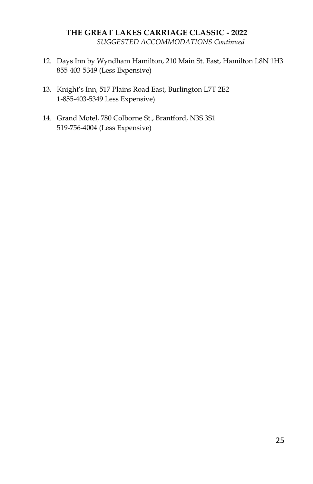### **THE GREAT LAKES CARRIAGE CLASSIC - 2022** *SUGGESTED ACCOMMODATIONS Continued*

- 12. Days Inn by Wyndham Hamilton, 210 Main St. East, Hamilton L8N 1H3 855-403-5349 (Less Expensive)
- 13. Knight's Inn, 517 Plains Road East, Burlington L7T 2E2 1-855-403-5349 Less Expensive)
- 14. Grand Motel, 780 Colborne St., Brantford, N3S 3S1 519-756-4004 (Less Expensive)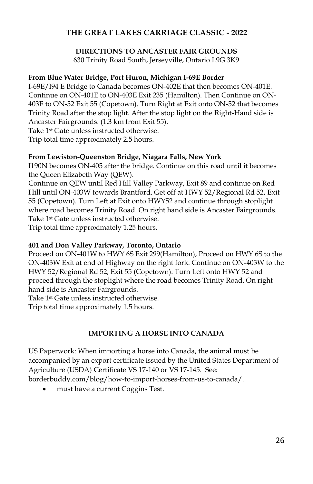### **DIRECTIONS TO ANCASTER FAIR GROUNDS**

630 Trinity Road South, Jerseyville, Ontario L9G 3K9

### **From Blue Water Bridge, Port Huron, Michigan I-69E Border**

I-69E/I94 E Bridge to Canada becomes ON-402E that then becomes ON-401E. Continue on ON-401E to ON-403E Exit 235 (Hamilton). Then Continue on ON-403E to ON-52 Exit 55 (Copetown). Turn Right at Exit onto ON-52 that becomes Trinity Road after the stop light. After the stop light on the Right-Hand side is Ancaster Fairgrounds. (1.3 km from Exit 55).

Take 1st Gate unless instructed otherwise.

Trip total time approximately 2.5 hours.

### **From Lewiston-Queenston Bridge, Niagara Falls, New York**

I190N becomes ON-405 after the bridge. Continue on this road until it becomes the Queen Elizabeth Way (QEW).

Continue on QEW until Red Hill Valley Parkway, Exit 89 and continue on Red Hill until ON-403W towards Brantford. Get off at HWY 52/Regional Rd 52, Exit 55 (Copetown). Turn Left at Exit onto HWY52 and continue through stoplight where road becomes Trinity Road. On right hand side is Ancaster Fairgrounds. Take 1st Gate unless instructed otherwise.

Trip total time approximately 1.25 hours.

### **401 and Don Valley Parkway, Toronto, Ontario**

Proceed on ON-401W to HWY 6S Exit 299(Hamilton), Proceed on HWY 6S to the ON-403W Exit at end of Highway on the right fork. Continue on ON-403W to the HWY 52/Regional Rd 52, Exit 55 (Copetown). Turn Left onto HWY 52 and proceed through the stoplight where the road becomes Trinity Road. On right hand side is Ancaster Fairgrounds.

Take 1st Gate unless instructed otherwise.

Trip total time approximately 1.5 hours.

### **IMPORTING A HORSE INTO CANADA**

US Paperwork: When importing a horse into Canada, the animal must be accompanied by an export certificate issued by the United States Department of Agriculture (USDA) Certificate VS 17-140 or VS 17-145. See:

borderbuddy.com/blog/how-to-import-horses-from-us-to-canada/.

must have a current Coggins Test.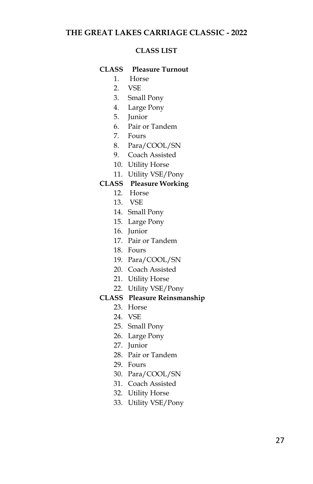#### **CLASS LIST**

### **CLASS Pleasure Turnout**

- 1. Horse
- 2. VSE
- 3. Small Pony
- 4. Large Pony
- 5. Junior
- 6. Pair or Tandem
- 7. Fours
- 8. Para/COOL/SN
- 9. Coach Assisted
- 10. Utility Horse
- 11. Utility VSE/Pony

### **CLASS Pleasure Working**

- 12. Horse
- 13. VSE
- 14. Small Pony
- 15. Large Pony
- 16. Junior
- 17. Pair or Tandem
- 18. Fours
- 19. Para/COOL/SN
- 20. Coach Assisted
- 21. Utility Horse
- 22. Utility VSE/Pony

### **CLASS Pleasure Reinsmanship**

- 23. Horse
- 24. VSE
- 25. Small Pony
- 26. Large Pony
- 27. Junior
- 28. Pair or Tandem
- 29. Fours
- 30. Para/COOL/SN
- 31. Coach Assisted
- 32. Utility Horse
- 33. Utility VSE/Pony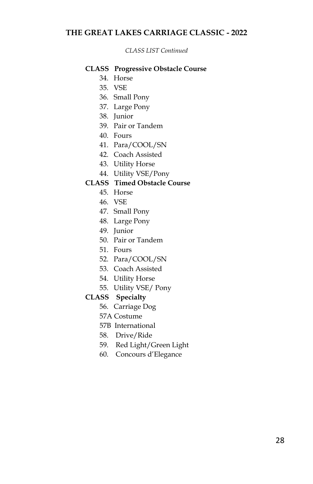*CLASS LIST Continued*

### **CLASS Progressive Obstacle Course**

- 34. Horse
- 35. VSE
- 36. Small Pony
- 37. Large Pony
- 38. Junior
- 39. Pair or Tandem
- 40. Fours
- 41. Para/COOL/SN
- 42. Coach Assisted
- 43. Utility Horse
- 44. Utility VSE/Pony

### **CLASS Timed Obstacle Course**

- 45. Horse
- 46. VSE
- 47. Small Pony
- 48. Large Pony
- 49. Junior
- 50. Pair or Tandem
- 51. Fours
- 52. Para/COOL/SN
- 53. Coach Assisted
- 54. Utility Horse
- 55. Utility VSE/ Pony

#### **CLASS Specialty**

- 56. Carriage Dog
- 57A Costume
- 57B International
- 58. Drive/Ride
- 59. Red Light/Green Light
- 60. Concours d'Elegance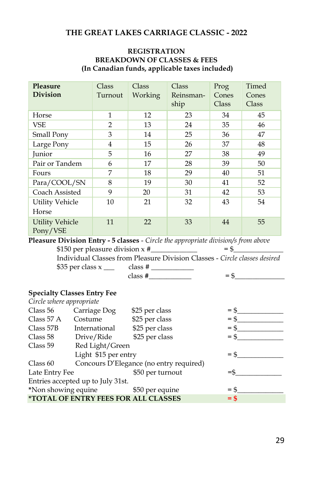### **REGISTRATION BREAKDOWN OF CLASSES & FEES (In Canadian funds, applicable taxes included)**

| Pleasure<br><b>Division</b>        | Class<br>Turnout | Class<br>Working | Class<br>Reinsman-<br>ship | Prog<br>Cones<br>Class | Timed<br>Cones<br>Class |
|------------------------------------|------------------|------------------|----------------------------|------------------------|-------------------------|
| Horse                              | 1                | 12               | 23                         | 34                     | 45                      |
| <b>VSE</b>                         | $\overline{2}$   | 13               | 24                         | 35                     | 46                      |
| Small Pony                         | 3                | 14               | 25                         | 36                     | 47                      |
| Large Pony                         | 4                | 15               | 26                         | 37                     | 48                      |
| Junior                             | 5                | 16               | 27                         | 38                     | 49                      |
| Pair or Tandem                     | 6                | 17               | 28                         | 39                     | 50                      |
| Fours                              | 7                | 18               | 29                         | 40                     | 51                      |
| Para/COOL/SN                       | 8                | 19               | 30                         | 41                     | 52                      |
| Coach Assisted                     | 9                | 20               | 31                         | 42                     | 53                      |
| <b>Utility Vehicle</b><br>Horse    | 10               | 21               | 32                         | 43                     | 54                      |
| <b>Utility Vehicle</b><br>Pony/VSE | 11               | 22               | 33                         | 44                     | 55                      |

**Pleasure Division Entry - 5 classes** - *Circle the appropriate division/s from above* \$150 per pleasure division x #\_\_\_\_\_\_\_\_\_\_\_\_\_ = \$\_\_\_\_\_\_\_\_\_\_\_\_\_\_

 Individual Classes from Pleasure Division Classes - *Circle classes desired* \$35 per class x \_\_\_ class # \_\_\_\_\_\_\_\_\_\_\_\_  $class \#$   $= \$$   $=$   $*$ 

#### **Specialty Classes Entry Fee**

| Circle where appropriate                              |                                                            |                |        |
|-------------------------------------------------------|------------------------------------------------------------|----------------|--------|
| Class 56                                              | Carriage Dog                                               | \$25 per class | $=$ \$ |
| Class $57 \text{ A}$                                  | Costume                                                    | \$25 per class | $=$ \$ |
| Class 57B                                             | International                                              | \$25 per class | $=$ \$ |
| Class 58                                              | Drive/Ride                                                 | \$25 per class | $=$ \$ |
| Class 59                                              | Red Light/Green                                            |                |        |
|                                                       | Light \$15 per entry                                       |                | $=$ \$ |
| Concours D'Elegance (no entry required)<br>Class $60$ |                                                            |                |        |
| Late Entry Fee<br>\$50 per turnout                    |                                                            |                |        |
| Entries accepted up to July 31st.                     |                                                            |                |        |
| *Non showing equine<br>\$50 per equine<br>$=$ \$      |                                                            |                |        |
|                                                       | <i><b>*TOTAL OF ENTRY FEES FOR ALL CLASSES</b></i><br>= \$ |                |        |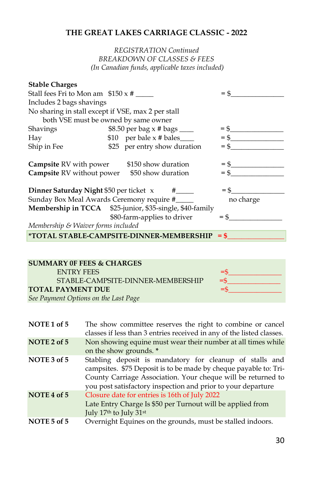### *REGISTRATION Continued BREAKDOWN OF CLASSES & FEES (In Canadian funds, applicable taxes included)*

| <b>Stable Charges</b>                                         |                                                          |           |  |  |
|---------------------------------------------------------------|----------------------------------------------------------|-----------|--|--|
| Stall fees Fri to Mon am $$150 \times #$                      | $=$ \$                                                   |           |  |  |
| Includes 2 bags shavings                                      |                                                          |           |  |  |
| No sharing in stall except if VSE, max 2 per stall            |                                                          |           |  |  |
|                                                               | both VSE must be owned by same owner                     |           |  |  |
| Shavings                                                      | \$8.50 per bag $\times$ # bags _____                     | $=$       |  |  |
| Hay                                                           | \$10 per bale $x \#$ bales______                         | $=$ \$    |  |  |
| Ship in Fee                                                   | \$25 per entry show duration                             | $=$ \$    |  |  |
|                                                               | <b>Campsite</b> RV with power \$150 show duration        |           |  |  |
| $=$ \$<br><b>Campsite</b> RV without power \$50 show duration |                                                          |           |  |  |
|                                                               | <b>Dinner Saturday Night</b> \$50 per ticket $x$ #_____  | $=$ \$    |  |  |
|                                                               | Sunday Box Meal Awards Ceremony require #                | no charge |  |  |
|                                                               | Membership in TCCA \$25-junior, \$35-single, \$40-family |           |  |  |
|                                                               | \$80-farm-applies to driver                              | $=$ \$    |  |  |
| Membership & Waiver forms included                            |                                                          |           |  |  |
|                                                               | <i>*</i> TOTAL STABLE-CAMPSITE-DINNER-MEMBERSHIP = $$$   |           |  |  |
|                                                               |                                                          |           |  |  |

| <b>SUMMARY OF FEES &amp; CHARGES</b> |        |  |  |
|--------------------------------------|--------|--|--|
| <b>ENTRY FEES</b>                    | $=$    |  |  |
| STABLE-CAMPSITE-DINNER-MEMBERSHIP    | $=$ \$ |  |  |
| <b>TOTAL PAYMENT DUE</b>             | =s     |  |  |
| See Payment Options on the Last Page |        |  |  |

| NOTE 1 of 5 | The show committee reserves the right to combine or cancel<br>classes if less than 3 entries received in any of the listed classes.                                                                                                                         |
|-------------|-------------------------------------------------------------------------------------------------------------------------------------------------------------------------------------------------------------------------------------------------------------|
| NOTE 2 of 5 | Non showing equine must wear their number at all times while<br>on the show grounds. *                                                                                                                                                                      |
| NOTE 3 of 5 | Stabling deposit is mandatory for cleanup of stalls and<br>campsites. \$75 Deposit is to be made by cheque payable to: Tri-<br>County Carriage Association. Your cheque will be returned to<br>you post satisfactory inspection and prior to your departure |
| NOTE 4 of 5 | Closure date for entries is 16th of July 2022<br>Late Entry Charge Is \$50 per Turnout will be applied from<br>July 17th to July 31st                                                                                                                       |
| NOTE 5 of 5 | Overnight Equines on the grounds, must be stalled indoors.                                                                                                                                                                                                  |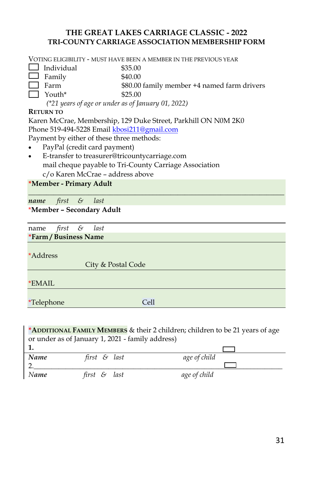# **THE GREAT LAKES CARRIAGE CLASSIC - 2022 TRI-COUNTY CARRIAGE ASSOCIATION MEMBERSHIP FORM**

VOTING ELIGIBILITY - MUST HAVE BEEN A MEMBER IN THE PREVIOUS YEAR

- $\Box$  Individual  $\qquad$  \$35.00
- $\Box$  Family \$40.00
- Farm \$80.00 family member +4 named farm drivers
	- $\gamma$  Youth\* \$25.00

 *(\*21 years of age or under as of January 01, 2022)*

### **RETURN TO**

Karen McCrae, Membership, 129 Duke Street, Parkhill ON N0M 2K0 Phone 519-494-5228 Email [kbosi211@gmail.co](mailto:mclje22.trail524@gmail.com)m Payment by either of these three methods:

- PayPal (credit card payment)
- E-transfer to treasurer@tricountycarriage.com mail cheque payable to Tri-County Carriage Association c/o Karen McCrae – address above

**\*Member - Primary Adult**

*\_\_\_\_\_\_\_\_\_\_\_\_\_\_\_\_\_\_\_\_\_\_\_\_\_\_\_\_\_\_\_\_\_\_\_\_\_\_\_\_\_\_\_\_\_\_\_\_\_\_\_\_\_\_\_\_\_\_\_\_\_\_\_\_\_\_\_\_\_\_\_\_ name first & last*

# \***Member – Secondary Adult**

name *first & last* **\*Farm / Business Name**

\*Address

City & Postal Code

\*EMAIL

\*Telephone Cell

### **\*ADDITIONAL FAMILY MEMBERS** & their 2 children; children to be 21 years of age or under as of January 1, 2021 - family address)

| Name | first $\mathcal S$ last | age of child |
|------|-------------------------|--------------|
|      |                         |              |
| Name | first & last            | age of child |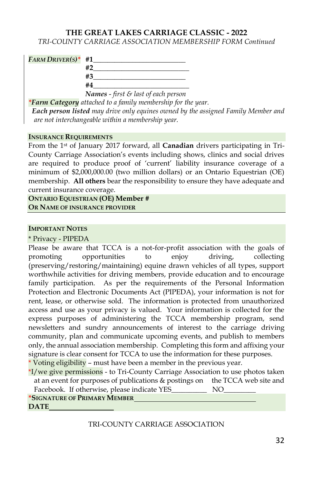*TRI-COUNTY CARRIAGE ASSOCIATION MEMBERSHIP FORM Continued*

| $FARM$ Driver(s)* #1 |                                                        |
|----------------------|--------------------------------------------------------|
|                      |                                                        |
|                      | #3                                                     |
|                      | #4                                                     |
|                      | <b>Names</b> - first $\mathcal{E}$ last of each person |

*\*Farm Category attached to a family membership for the year. Each person listed may drive only equines owned by the assigned Family Member and are not interchangeable within a membership year.*

#### **INSURANCE REQUIREMENTS**

From the 1st of January 2017 forward, all **Canadian** drivers participating in Tri-County Carriage Association's events including shows, clinics and social drives are required to produce proof of 'current' liability insurance coverage of a minimum of \$2,000,000.00 (two million dollars) or an Ontario Equestrian (OE) membership. **All others** bear the responsibility to ensure they have adequate and current insurance coverage.

**ONTARIO EQUESTRIAN (OE) Member # OR NAME OF INSURANCE PROVIDER**

#### **IMPORTANT NOTES**

\* Privacy - PIPEDA

Please be aware that TCCA is a not-for-profit association with the goals of promoting opportunities to enjoy driving, collecting (preserving/restoring/maintaining) equine drawn vehicles of all types, support worthwhile activities for driving members, provide education and to encourage family participation. As per the requirements of the Personal Information Protection and Electronic Documents Act (PIPEDA), your information is not for rent, lease, or otherwise sold. The information is protected from unauthorized access and use as your privacy is valued. Your information is collected for the express purposes of administering the TCCA membership program, send newsletters and sundry announcements of interest to the carriage driving community, plan and communicate upcoming events, and publish to members only, the annual association membership. Completing this form and affixing your signature is clear consent for TCCA to use the information for these purposes.

\* Voting eligibility – must have been a member in the previous year.

\*I/we give permissions - to Tri-County Carriage Association to use photos taken at an event for purposes of publications & postings on the TCCA web site and Facebook. If otherwise, please indicate YES\_\_\_\_\_\_\_\_\_\_\_\_ NO\_ **\*SIGNATURE OF PRIMARY MEMBER DATE**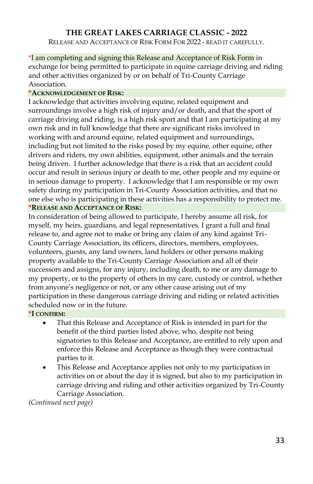RELEASE AND ACCEPTANCE OF RISK FORM FOR 2022 - READ IT CAREFULLY.

\*I am completing and signing this Release and Acceptance of Risk Form in exchange for being permitted to participate in equine carriage driving and riding and other activities organized by or on behalf of Tri-County Carriage Association.

### **\*ACKNOWLEDGEMENT OF RISK:**

I acknowledge that activities involving equine, related equipment and surroundings involve a high risk of injury and/or death, and that the sport of carriage driving and riding, is a high risk sport and that I am participating at my own risk and in full knowledge that there are significant risks involved in working with and around equine, related equipment and surroundings, including but not limited to the risks posed by my equine, other equine, other drivers and riders, my own abilities, equipment, other animals and the terrain being driven. I further acknowledge that there is a risk that an accident could occur and result in serious injury or death to me, other people and my equine or in serious damage to property. I acknowledge that I am responsible or my own safety during my participation in Tri-County Association activities, and that no one else who is participating in these activities has a responsibility to protect me. **\*RELEASE AND ACCEPTANCE OF RISK:**

In consideration of being allowed to participate, I hereby assume all risk, for myself, my heirs, guardians, and legal representatives. I grant a full and final release to, and agree not to make or bring any claim of any kind against Tri-County Carriage Association, its officers, directors, members, employees, volunteers, guests, any land owners, land holders or other persons making property available to the Tri-County Carriage Association and all of their successors and assigns, for any injury, including death, to me or any damage to my property, or to the property of others in my care, custody or control, whether from anyone's negligence or not, or any other cause arising out of my participation in these dangerous carriage driving and riding or related activities scheduled now or in the future.

**\*I CONFIRM:**

- That this Release and Acceptance of Risk is intended in part for the benefit of the third parties listed above, who, despite not being signatories to this Release and Acceptance, are entitled to rely upon and enforce this Release and Acceptance as though they were contractual parties to it.
- This Release and Acceptance applies not only to my participation in activities on or about the day it is signed, but also to my participation in carriage driving and riding and other activities organized by Tri-County Carriage Association.

*(Continued next page)*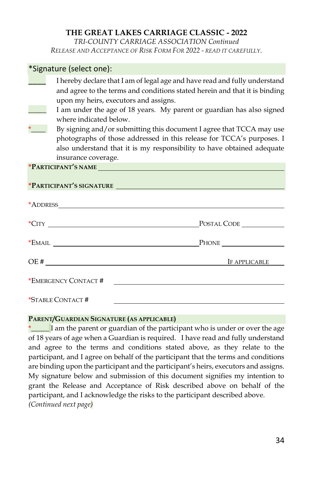*TRI-COUNTY CARRIAGE ASSOCIATION Continued RELEASE AND ACCEPTANCE OF RISK FORM FOR 2022 - READ IT CAREFULLY.*

|         | *Signature (select one):                  |                                                                                                                                                                                                                         |
|---------|-------------------------------------------|-------------------------------------------------------------------------------------------------------------------------------------------------------------------------------------------------------------------------|
|         |                                           | I hereby declare that I am of legal age and have read and fully understand<br>and agree to the terms and conditions stated herein and that it is binding<br>upon my heirs, executors and assigns.                       |
| $\star$ | where indicated below.                    | I am under the age of 18 years. My parent or guardian has also signed                                                                                                                                                   |
|         | insurance coverage.                       | By signing and/or submitting this document I agree that TCCA may use<br>photographs of those addressed in this release for TCCA's purposes. I<br>also understand that it is my responsibility to have obtained adequate |
|         |                                           |                                                                                                                                                                                                                         |
|         |                                           | *PARTICIPANT'S SIGNATURE                                                                                                                                                                                                |
|         |                                           |                                                                                                                                                                                                                         |
|         | $*$ CITY $\_\_\_\_\_\_\_\_\_\_\_\_\_\_\_$ | POSTAL CODE                                                                                                                                                                                                             |
|         |                                           |                                                                                                                                                                                                                         |
|         |                                           | OE#<br>IF APPLICABLE                                                                                                                                                                                                    |
|         | *EMERGENCY CONTACT #                      |                                                                                                                                                                                                                         |
|         | *STABLE CONTACT #                         |                                                                                                                                                                                                                         |

#### **PARENT/GUARDIAN SIGNATURE (AS APPLICABLE)**

\*\_\_\_\_\_ I am the parent or guardian of the participant who is under or over the age of 18 years of age when a Guardian is required. I have read and fully understand and agree to the terms and conditions stated above, as they relate to the participant, and I agree on behalf of the participant that the terms and conditions are binding upon the participant and the participant's heirs, executors and assigns. My signature below and submission of this document signifies my intention to grant the Release and Acceptance of Risk described above on behalf of the participant, and I acknowledge the risks to the participant described above. *(Continued next page)*